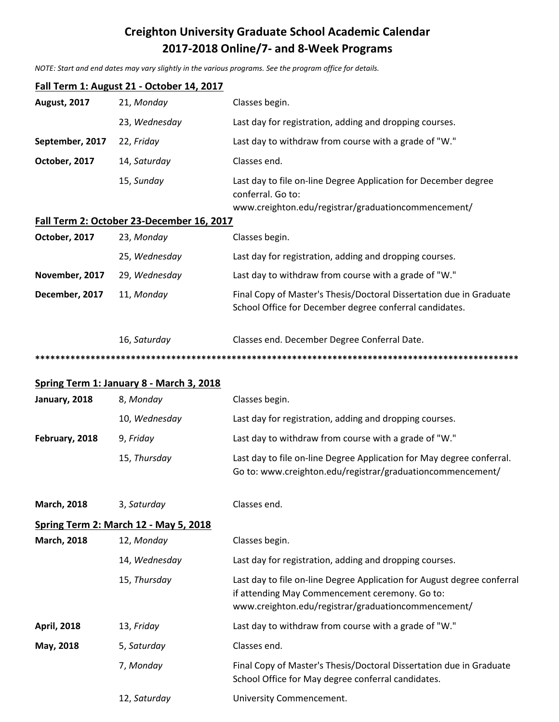# **Creighton University Graduate School Academic Calendar 2017-2018 Online/7- and 8-Week Programs**

*NOTE: Start and end dates may vary slightly in the various programs. See the program office for details.*

| Fall Term 1: August 21 - October 14, 2017 |                                                 |                                                                                                                                                                                  |  |  |
|-------------------------------------------|-------------------------------------------------|----------------------------------------------------------------------------------------------------------------------------------------------------------------------------------|--|--|
| <b>August, 2017</b>                       | 21, Monday                                      | Classes begin.                                                                                                                                                                   |  |  |
|                                           | 23, Wednesday                                   | Last day for registration, adding and dropping courses.                                                                                                                          |  |  |
| September, 2017                           | 22, Friday                                      | Last day to withdraw from course with a grade of "W."                                                                                                                            |  |  |
| October, 2017                             | 14, Saturday                                    | Classes end.                                                                                                                                                                     |  |  |
|                                           | 15, Sunday                                      | Last day to file on-line Degree Application for December degree<br>conferral. Go to:<br>www.creighton.edu/registrar/graduationcommencement/                                      |  |  |
|                                           | Fall Term 2: October 23-December 16, 2017       |                                                                                                                                                                                  |  |  |
| October, 2017                             | 23, Monday                                      | Classes begin.                                                                                                                                                                   |  |  |
|                                           | 25, Wednesday                                   | Last day for registration, adding and dropping courses.                                                                                                                          |  |  |
| November, 2017                            | 29, Wednesday                                   | Last day to withdraw from course with a grade of "W."                                                                                                                            |  |  |
| December, 2017                            | 11, Monday                                      | Final Copy of Master's Thesis/Doctoral Dissertation due in Graduate<br>School Office for December degree conferral candidates.                                                   |  |  |
|                                           | 16, Saturday                                    | Classes end. December Degree Conferral Date.                                                                                                                                     |  |  |
|                                           |                                                 |                                                                                                                                                                                  |  |  |
|                                           | <b>Spring Term 1: January 8 - March 3, 2018</b> |                                                                                                                                                                                  |  |  |
| January, 2018                             | 8, Monday                                       | Classes begin.                                                                                                                                                                   |  |  |
|                                           | 10, Wednesday                                   | Last day for registration, adding and dropping courses.                                                                                                                          |  |  |
| February, 2018                            | 9, Friday                                       | Last day to withdraw from course with a grade of "W."                                                                                                                            |  |  |
|                                           | 15, Thursday                                    | Last day to file on-line Degree Application for May degree conferral.<br>Go to: www.creighton.edu/registrar/graduationcommencement/                                              |  |  |
| <b>March, 2018</b>                        | 3, Saturday                                     | Classes end.                                                                                                                                                                     |  |  |
|                                           | <b>Spring Term 2: March 12 - May 5, 2018</b>    |                                                                                                                                                                                  |  |  |
| <b>March, 2018</b>                        | 12, Monday                                      | Classes begin.                                                                                                                                                                   |  |  |
|                                           | 14, Wednesday                                   | Last day for registration, adding and dropping courses.                                                                                                                          |  |  |
|                                           | 15, Thursday                                    | Last day to file on-line Degree Application for August degree conferral<br>if attending May Commencement ceremony. Go to:<br>www.creighton.edu/registrar/graduationcommencement/ |  |  |
| <b>April, 2018</b>                        | 13, Friday                                      | Last day to withdraw from course with a grade of "W."                                                                                                                            |  |  |
| May, 2018                                 | 5, Saturday                                     | Classes end.                                                                                                                                                                     |  |  |
|                                           | 7, Monday                                       | Final Copy of Master's Thesis/Doctoral Dissertation due in Graduate<br>School Office for May degree conferral candidates.                                                        |  |  |
|                                           | 12, Saturday                                    | University Commencement.                                                                                                                                                         |  |  |